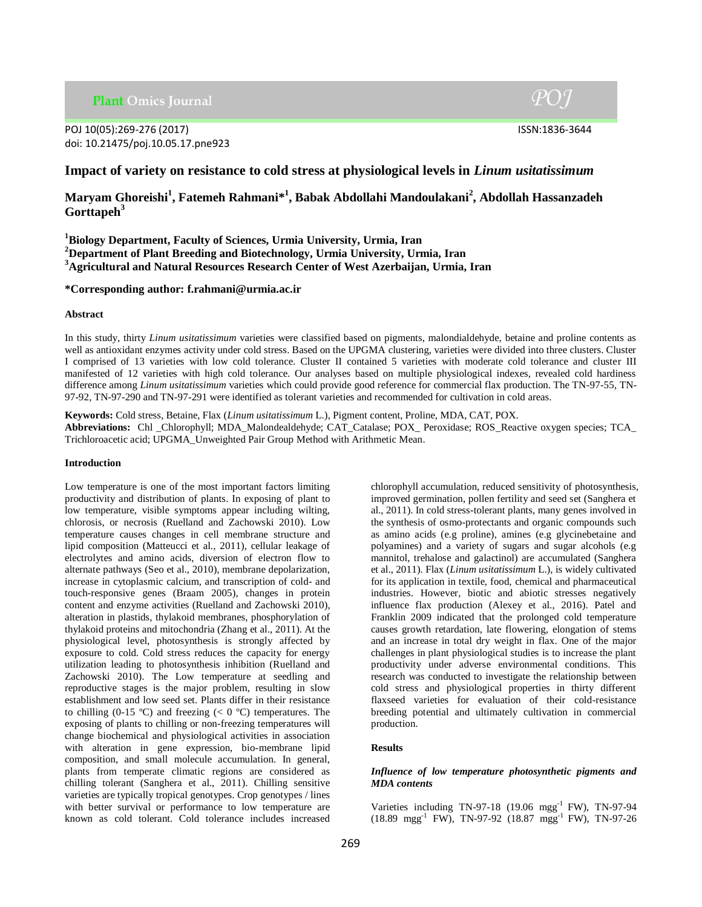**Plant Omics Journal** 

# POJ 10(05):269-276 (2017) ISSN:1836-3644 doi: 10.21475/poj.10.05.17.pne923

 $P O I$ 

# **Impact of variety on resistance to cold stress at physiological levels in** *Linum usitatissimum*

**Maryam Ghoreishi<sup>1</sup> , Fatemeh Rahmani\* 1 , Babak Abdollahi Mandoulakani<sup>2</sup> , Abdollah Hassanzadeh Gorttapeh<sup>3</sup>**

**<sup>1</sup>Biology Department, Faculty of Sciences, Urmia University, Urmia, Iran <sup>2</sup>Department of Plant Breeding and Biotechnology, Urmia University, Urmia, Iran <sup>3</sup>Agricultural and Natural Resources Research Center of West Azerbaijan, Urmia, Iran**

# **\*Corresponding author: f.rahmani@urmia.ac.ir**

### **Abstract**

In this study, thirty *Linum usitatissimum* varieties were classified based on pigments, malondialdehyde, betaine and proline contents as well as antioxidant enzymes activity under cold stress. Based on the UPGMA clustering, varieties were divided into three clusters. Cluster I comprised of 13 varieties with low cold tolerance. Cluster II contained 5 varieties with moderate cold tolerance and cluster III manifested of 12 varieties with high cold tolerance. Our analyses based on multiple physiological indexes, revealed cold hardiness difference among *Linum usitatissimum* varieties which could provide good reference for commercial flax production. The TN-97-55, TN-97-92, TN-97-290 and TN-97-291 were identified as tolerant varieties and recommended for cultivation in cold areas.

**Keywords:** Cold stress, Betaine, Flax (*Linum usitatissimum* L.), Pigment content, Proline, MDA, CAT, POX. **Abbreviations:** Chl \_Chlorophyll; MDA\_Malondealdehyde; CAT\_Catalase; POX\_ Peroxidase; ROS\_Reactive oxygen species; TCA\_ Trichloroacetic acid; UPGMA\_Unweighted Pair Group Method with Arithmetic Mean.

#### **Introduction**

Low temperature is one of the most important factors limiting productivity and distribution of plants. In exposing of plant to low temperature, visible symptoms appear including wilting, chlorosis, or necrosis (Ruelland and Zachowski 2010). Low temperature causes changes in cell membrane structure and lipid composition (Matteucci et al., 2011), cellular leakage of electrolytes and amino acids, diversion of electron flow to alternate pathways (Seo et al., 2010), membrane depolarization, increase in cytoplasmic calcium, and transcription of cold- and touch-responsive genes (Braam 2005), changes in protein content and enzyme activities (Ruelland and Zachowski 2010), alteration in plastids, thylakoid membranes, phosphorylation of thylakoid proteins and mitochondria (Zhang et al., 2011). At the physiological level, photosynthesis is strongly affected by exposure to cold. Cold stress reduces the capacity for energy utilization leading to photosynthesis inhibition (Ruelland and Zachowski 2010). The Low temperature at seedling and reproductive stages is the major problem, resulting in slow establishment and low seed set. Plants differ in their resistance to chilling (0-15 °C) and freezing ( $<$  0 °C) temperatures. The exposing of plants to chilling or non-freezing temperatures will change biochemical and physiological activities in association with alteration in gene expression, bio-membrane lipid composition, and small molecule accumulation. In general, plants from temperate climatic regions are considered as chilling tolerant (Sanghera et al., 2011). Chilling sensitive varieties are typically tropical genotypes. Crop genotypes / lines with better survival or performance to low temperature are known as cold tolerant. Cold tolerance includes increased chlorophyll accumulation, reduced sensitivity of photosynthesis, improved germination, pollen fertility and seed set (Sanghera et al., 2011). In cold stress-tolerant plants, many genes involved in the synthesis of osmo-protectants and organic compounds such as amino acids (e.g proline), amines (e.g glycinebetaine and polyamines) and a variety of sugars and sugar alcohols (e.g mannitol, trehalose and galactinol) are accumulated (Sanghera et al., 2011). Flax (*Linum usitatissimum* L.), is widely cultivated for its application in textile, food, chemical and pharmaceutical industries. However, biotic and abiotic stresses negatively influence flax production (Alexey et al., 2016). Patel and Franklin 2009 indicated that the prolonged cold temperature causes growth retardation, late flowering, elongation of stems and an increase in total dry weight in flax. One of the major challenges in plant physiological studies is to increase the plant productivity under adverse environmental conditions. This research was conducted to investigate the relationship between cold stress and physiological properties in thirty different flaxseed varieties for evaluation of their cold-resistance breeding potential and ultimately cultivation in commercial production.

# **Results**

### *Influence of low temperature photosynthetic pigments and MDA contents*

Varieties including TN-97-18 (19.06 mgg-1 FW), TN-97-94 (18.89 mgg -1 FW), TN-97-92 (18.87 mgg-1 FW), TN-97-26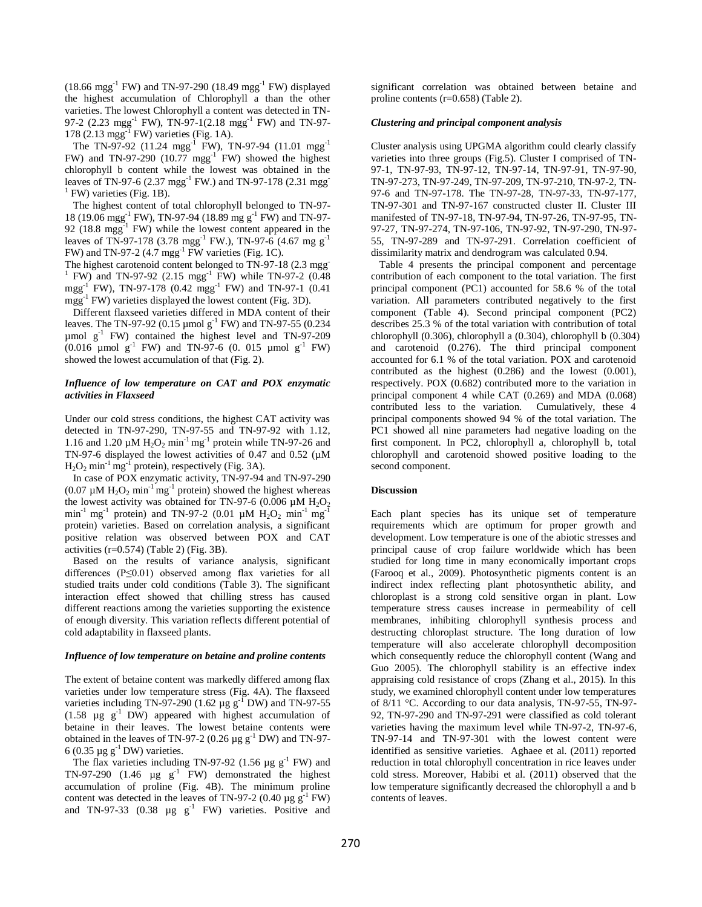$(18.66 \text{ mgg}^{-1} \text{ FW})$  and TN-97-290  $(18.49 \text{ mgg}^{-1} \text{ FW})$  displayed the highest accumulation of Chlorophyll a than the other varieties. The lowest Chlorophyll a content was detected in TN-97-2 (2.23 mgg<sup>-1</sup> FW), TN-97-1(2.18 mgg<sup>-1</sup> FW) and TN-97-178 (2.13 mgg-1 FW) varieties (Fig. 1A).

The TN-97-92 (11.24 mgg<sup>-1</sup> FW), TN-97-94 (11.01 mgg<sup>-1</sup> FW) and TN-97-290  $(10.77 \text{ mgg}^{-1} \text{ FW})$  showed the highest chlorophyll b content while the lowest was obtained in the leaves of TN-97-6 (2.37 mgg<sup>-1</sup> FW.) and TN-97-178 (2.31 mgg<sup>-1</sup>  $<sup>1</sup>$  FW) varieties (Fig. 1B).</sup>

The highest content of total chlorophyll belonged to TN-97- 18 (19.06 mgg<sup>-1</sup> FW), TN-97-94 (18.89 mg g<sup>-1</sup> FW) and TN-97-92 (18.8 mgg<sup>-1</sup> FW) while the lowest content appeared in the leaves of TN-97-178 (3.78 mgg<sup>-1</sup> FW.), TN-97-6 (4.67 mg g<sup>-1</sup> FW) and TN-97-2  $(4.7 \text{ mgg}^{-1} \text{ FW}$  varieties (Fig. 1C).

The highest carotenoid content belonged to TN-97-18 (2.3 mgg <sup>1</sup> FW) and TN-97-92 (2.15 mgg<sup>-1</sup> FW) while TN-97-2 (0.48 mgg<sup>-1</sup> FW), TN-97-178 (0.42 mgg<sup>-1</sup> FW) and TN-97-1 (0.41 mgg<sup>-1</sup> FW) varieties displayed the lowest content (Fig. 3D).

Different flaxseed varieties differed in MDA content of their leaves. The TN-97-92 (0.15 µmol  $g^{-1}$  FW) and TN-97-55 (0.234  $\mu$ mol g<sup>-1</sup> FW) contained the highest level and TN-97-209  $(0.016 \text{ \mu mol g}^{-1} \text{ FW})$  and TN-97-6 (0. 015 µmol g<sup>-1</sup> FW) showed the lowest accumulation of that (Fig. 2).

### *Influence of low temperature on CAT and POX enzymatic activities in Flaxseed*

Under our cold stress conditions, the highest CAT activity was detected in TN-97-290, TN-97-55 and TN-97-92 with 1.12, 1.16 and 1.20  $\mu$ M H<sub>2</sub>O<sub>2</sub> min<sup>-1</sup> mg<sup>-1</sup> protein while TN-97-26 and TN-97-6 displayed the lowest activities of 0.47 and 0.52 (µM  $H_2O_2$  min<sup>-1</sup> mg<sup>-1</sup> protein), respectively (Fig. 3A).

In case of POX enzymatic activity, TN-97-94 and TN-97-290 (0.07  $\mu$ M H<sub>2</sub>O<sub>2</sub> min<sup>-1</sup> mg<sup>-1</sup> protein) showed the highest whereas the lowest activity was obtained for TN-97-6 (0.006  $\mu$ M H<sub>2</sub>O<sub>2</sub> min<sup>-1</sup> mg<sup>-1</sup> protein) and TN-97-2 (0.01 µM  $H_2O_2$  min<sup>-1</sup> mg<sup>-1</sup> protein) varieties. Based on correlation analysis, a significant positive relation was observed between POX and CAT activities  $(r=0.574)$  (Table 2) (Fig. 3B).

Based on the results of variance analysis, significant differences (P≤0.01) observed among flax varieties for all studied traits under cold conditions (Table 3). The significant interaction effect showed that chilling stress has caused different reactions among the varieties supporting the existence of enough diversity. This variation reflects different potential of cold adaptability in flaxseed plants.

#### *Influence of low temperature on betaine and proline contents*

The extent of betaine content was markedly differed among flax varieties under low temperature stress (Fig. 4A). The flaxseed varieties including TN-97-290 (1.62  $\mu$ g g<sup>-1</sup> DW) and TN-97-55 (1.58  $\mu$ g g<sup>-1</sup> DW) appeared with highest accumulation of betaine in their leaves. The lowest betaine contents were obtained in the leaves of TN-97-2 (0.26  $\mu$ g g<sup>-1</sup> DW) and TN-97-6 (0.35  $\mu$ g g<sup>-1</sup> DW) varieties.

The flax varieties including TN-97-92 (1.56  $\mu$ g g<sup>-1</sup> FW) and TN-97-290 (1.46  $\mu$ g g<sup>-1</sup> FW) demonstrated the highest accumulation of proline (Fig. 4B). The minimum proline content was detected in the leaves of TN-97-2 (0.40  $\mu$ g g<sup>-1</sup> FW) and TN-97-33 (0.38  $\mu$ g g<sup>-1</sup> FW) varieties. Positive and

significant correlation was obtained between betaine and proline contents (r=0.658) (Table 2).

#### *Clustering and principal component analysis*

Cluster analysis using UPGMA algorithm could clearly classify varieties into three groups (Fig.5). Cluster I comprised of TN-97-1, TN-97-93, TN-97-12, TN-97-14, TN-97-91, TN-97-90, TN-97-273, TN-97-249, TN-97-209, TN-97-210, TN-97-2, TN-97-6 and TN-97-178. The TN-97-28, TN-97-33, TN-97-177, TN-97-301 and TN-97-167 constructed cluster II. Cluster III manifested of TN-97-18, TN-97-94, TN-97-26, TN-97-95, TN-97-27, TN-97-274, TN-97-106, TN-97-92, TN-97-290, TN-97- 55, TN-97-289 and TN-97-291. Correlation coefficient of dissimilarity matrix and dendrogram was calculated 0.94.

Table 4 presents the principal component and percentage contribution of each component to the total variation. The first principal component (PC1) accounted for 58.6 % of the total variation. All parameters contributed negatively to the first component (Table 4). Second principal component (PC2) describes 25.3 % of the total variation with contribution of total chlorophyll (0.306), chlorophyll a (0.304), chlorophyll b (0.304) and carotenoid (0.276). The third principal component accounted for 6.1 % of the total variation. POX and carotenoid contributed as the highest (0.286) and the lowest (0.001), respectively. POX (0.682) contributed more to the variation in principal component 4 while CAT (0.269) and MDA (0.068) contributed less to the variation. Cumulatively, these 4 principal components showed 94 % of the total variation. The PC1 showed all nine parameters had negative loading on the first component. In PC2, chlorophyll a, chlorophyll b, total chlorophyll and carotenoid showed positive loading to the second component.

### **Discussion**

Each plant species has its unique set of temperature requirements which are optimum for proper growth and development. Low temperature is one of the abiotic stresses and principal cause of crop failure worldwide which has been studied for long time in many economically important crops (Farooq et al., 2009). Photosynthetic pigments content is an indirect index reflecting plant photosynthetic ability, and chloroplast is a strong cold sensitive organ in plant. Low temperature stress causes increase in permeability of cell membranes, inhibiting chlorophyll synthesis process and destructing chloroplast structure. The long duration of low temperature will also accelerate chlorophyll decomposition which consequently reduce the chlorophyll content (Wang and Guo 2005). The chlorophyll stability is an effective index appraising cold resistance of crops (Zhang et al., 2015). In this study, we examined chlorophyll content under low temperatures of 8/11 °C. According to our data analysis, TN-97-55, TN-97- 92, TN-97-290 and TN-97-291 were classified as cold tolerant varieties having the maximum level while TN-97-2, TN-97-6, TN-97-14 and TN-97-301 with the lowest content were identified as sensitive varieties. Aghaee et al. (2011) reported reduction in total chlorophyll concentration in rice leaves under cold stress. Moreover, Habibi et al. (2011) observed that the low temperature significantly decreased the chlorophyll a and b contents of leaves.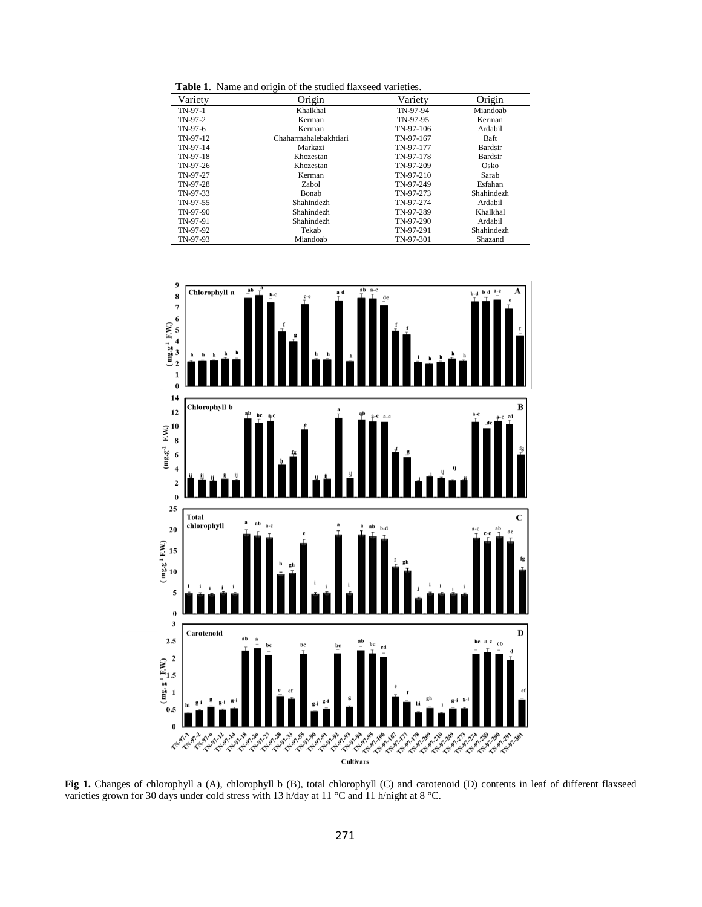**Table 1**. Name and origin of the studied flaxseed varieties.

| Variety    | Origin                | Variety   | Origin     |
|------------|-----------------------|-----------|------------|
| $TN-97-1$  | Khalkhal              | TN-97-94  | Miandoab   |
| $TN-97-2$  | Kerman                | TN-97-95  | Kerman     |
| TN-97-6    | Kerman                | TN-97-106 | Ardabil    |
| $TN-97-12$ | Chaharmahalebakhtiari | TN-97-167 | Baft       |
| TN-97-14   | Markazi               | TN-97-177 | Bardsir    |
| TN-97-18   | Khozestan             | TN-97-178 | Bardsir    |
| TN-97-26   | Khozestan             | TN-97-209 | Osko       |
| TN-97-27   | Kerman                | TN-97-210 | Sarab      |
| TN-97-28   | Zabol                 | TN-97-249 | Esfahan    |
| TN-97-33   | Bonab                 | TN-97-273 | Shahindezh |
| TN-97-55   | Shahindezh            | TN-97-274 | Ardabil    |
| TN-97-90   | Shahindezh            | TN-97-289 | Khalkhal   |
| TN-97-91   | Shahindezh            | TN-97-290 | Ardabil    |
| TN-97-92   | Tekab                 | TN-97-291 | Shahindezh |
| TN-97-93   | Miandoab              | TN-97-301 | Shazand    |



Fig 1. Changes of chlorophyll a (A), chlorophyll b (B), total chlorophyll (C) and carotenoid (D) contents in leaf of different flaxseed varieties grown for 30 days under cold stress with 13 h/day at 11 °C and 11 h/night at 8 °C.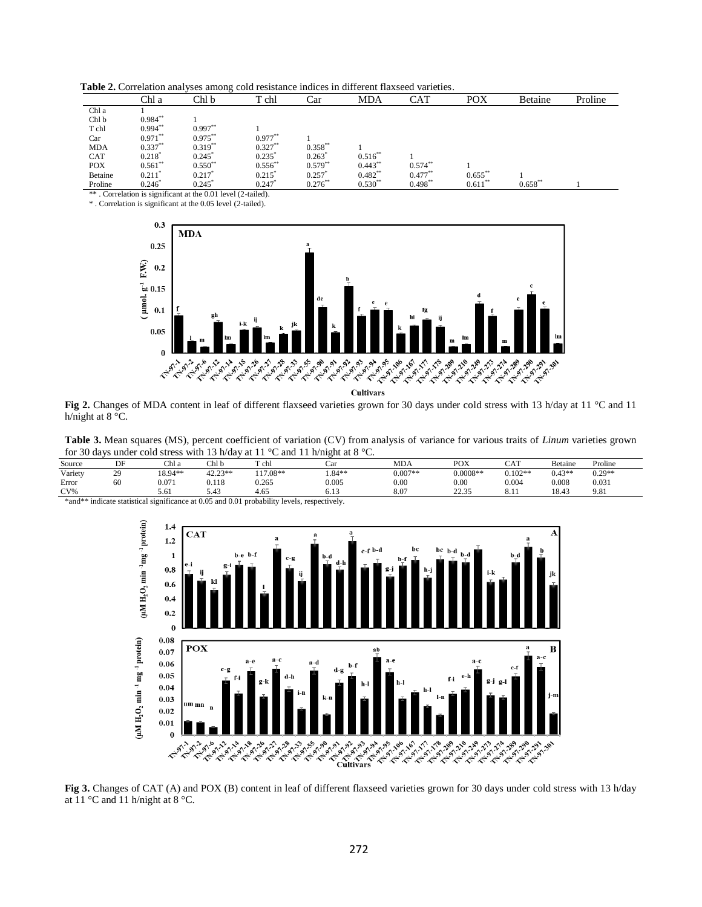**Table 2.** Correlation analyses among cold resistance indices in different flaxseed varieties.

|            | Chl a                | Chl b                | T chl                | Car        | MDA        | CAT        | POX        | Betaine    | Proline |
|------------|----------------------|----------------------|----------------------|------------|------------|------------|------------|------------|---------|
| Chl a      |                      |                      |                      |            |            |            |            |            |         |
| Chl b      | $0.984***$           |                      |                      |            |            |            |            |            |         |
| T chl      | $0.994***$           | $0.997**$            |                      |            |            |            |            |            |         |
| Car        | $0.971***$           | $0.975***$           | $0.977***$           |            |            |            |            |            |         |
| <b>MDA</b> | $0.337***$           | $0.319**$            | $0.327**$            | $0.358***$ |            |            |            |            |         |
| CAT        | $0.218$ <sup>*</sup> | 0.245                | 0.235                | 0.263      | $0.516***$ |            |            |            |         |
| <b>POX</b> | $0.561***$           | $0.550^{*}$          | $0.556**$            | $0.579**$  | $0.443***$ | $0.574$ ** |            |            |         |
| Betaine    | 0.211                | $0.217$ <sup>*</sup> | $0.215$ <sup>*</sup> | 0.257      | $0.482**$  | $0.477**$  | $0.655$ ** |            |         |
| Proline    | 0.246                | 0.245                | 0.247                | $0.276***$ | $0.530**$  | $0.498*$   | $0.611***$ | $0.658***$ |         |

\*\* . Correlation is significant at the 0.01 level (2-tailed). \* . Correlation is significant at the 0.05 level (2-tailed).



**Fig 2.** Changes of MDA content in leaf of different flaxseed varieties grown for 30 days under cold stress with 13 h/day at 11 °C and 11 h/night at 8 °C.

| Table 3. Mean squares (MS), percent coefficient of variation (CV) from analysis of variance for various traits of Linum varieties grown |
|-----------------------------------------------------------------------------------------------------------------------------------------|
| for 30 days under cold stress with 13 h/day at 11 °C and 11 h/night at 8 °C.                                                            |

| Source  | DF        | Chl a   | Ch1b      | T chl     | Car      | <b>MDA</b> | POX        | CAT       | Betaine  | Proline  |  |
|---------|-----------|---------|-----------|-----------|----------|------------|------------|-----------|----------|----------|--|
| Variety | 20<br>ر ت | 18.94** | $42.23**$ | $17.08**$ | $1.84**$ | $0.007**$  | $0.0008**$ | $0.102**$ | $0.43**$ | $0.29**$ |  |
| Error   | 60        | 0.071   | 0.118     | 0.265     | 0.005    | 0.00       | 0.00       | 0.004     | 0.008    | 0.031    |  |
| CV%     |           | 5.61    | 5.43      | 4.65      | 0.12     | 8.07       | 22.35      | 0.11      | 18.43    | 9.81     |  |



**Fig 3.** Changes of CAT (A) and POX (B) content in leaf of different flaxseed varieties grown for 30 days under cold stress with 13 h/day at 11 °C and 11 h/night at 8 °C.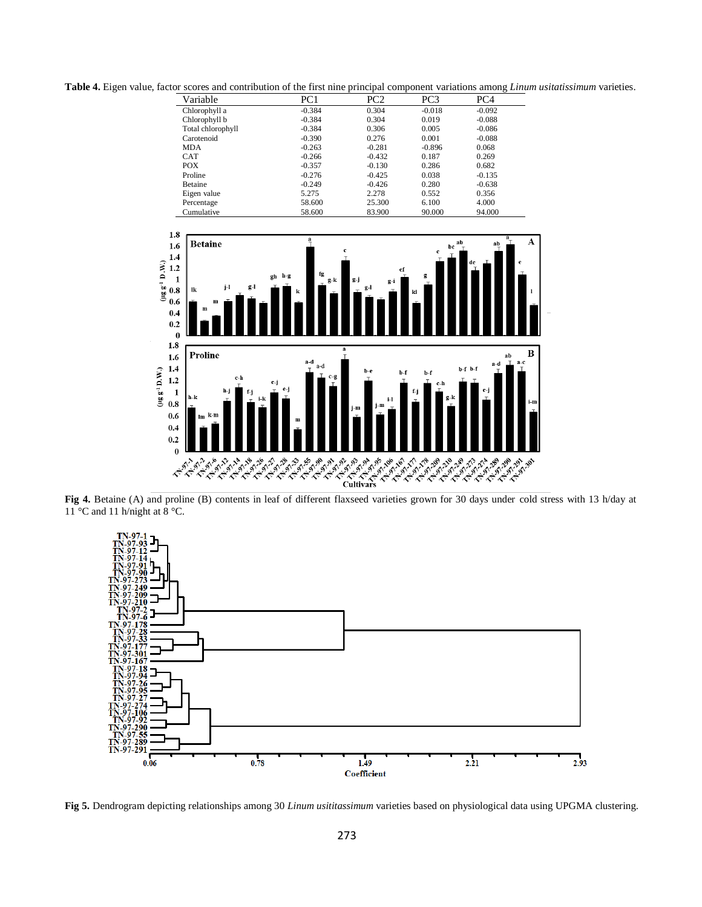**Table 4.** Eigen value, factor scores and contribution of the first nine principal component variations among *Linum usitatissimum* varieties.

| Variable          | PC1      | PC <sub>2</sub> | PC3      | PC <sub>4</sub> |  |
|-------------------|----------|-----------------|----------|-----------------|--|
| Chlorophyll a     | $-0.384$ | 0.304           | $-0.018$ | $-0.092$        |  |
| Chlorophyll b     | $-0.384$ | 0.304           | 0.019    | $-0.088$        |  |
| Total chlorophyll | $-0.384$ | 0.306           | 0.005    | $-0.086$        |  |
| Carotenoid        | $-0.390$ | 0.276           | 0.001    | $-0.088$        |  |
| MDA               | $-0.263$ | $-0.281$        | $-0.896$ | 0.068           |  |
| <b>CAT</b>        | $-0.266$ | $-0.432$        | 0.187    | 0.269           |  |
| <b>POX</b>        | $-0.357$ | $-0.130$        | 0.286    | 0.682           |  |
| Proline           | $-0.276$ | $-0.425$        | 0.038    | $-0.135$        |  |
| <b>Betaine</b>    | $-0.249$ | $-0.426$        | 0.280    | $-0.638$        |  |
| Eigen value       | 5.275    | 2.278           | 0.552    | 0.356           |  |
| Percentage        | 58.600   | 25.300          | 6.100    | 4.000           |  |
| Cumulative        | 58.600   | 83.900          | 90.000   | 94.000          |  |



 $11^{\circ}$ C and 11 h/night at  $8^{\circ}$ C.



**Fig 5.** Dendrogram depicting relationships among 30 *Linum usititassimum* varieties based on physiological data using UPGMA clustering.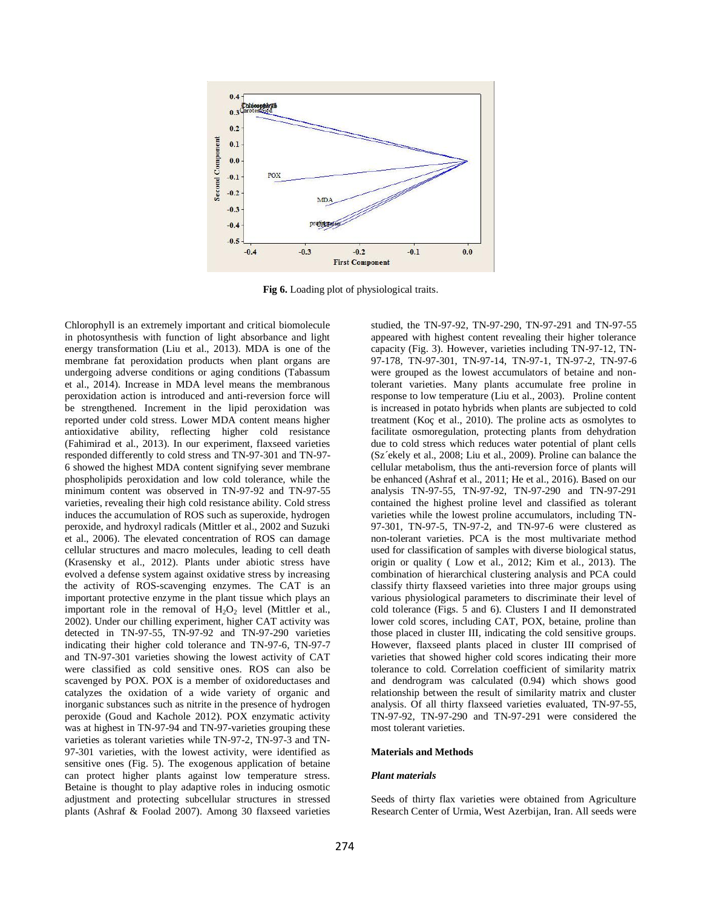

**Fig 6.** Loading plot of physiological traits.

Chlorophyll is an extremely important and critical biomolecule in photosynthesis with function of light absorbance and light energy transformation (Liu et al., 2013). MDA is one of the membrane fat peroxidation products when plant organs are undergoing adverse conditions or aging conditions (Tabassum et al., 2014). Increase in MDA level means the membranous peroxidation action is introduced and anti-reversion force will be strengthened. Increment in the lipid peroxidation was reported under cold stress. Lower MDA content means higher antioxidative ability, reflecting higher cold resistance (Fahimirad et al., 2013). In our experiment, flaxseed varieties responded differently to cold stress and TN-97-301 and TN-97- 6 showed the highest MDA content signifying sever membrane phospholipids peroxidation and low cold tolerance, while the minimum content was observed in TN-97-92 and TN-97-55 varieties, revealing their high cold resistance ability. Cold stress induces the accumulation of ROS such as superoxide, hydrogen peroxide, and hydroxyl radicals (Mittler et al., 2002 and Suzuki et al., 2006). The elevated concentration of ROS can damage cellular structures and macro molecules, leading to cell death (Krasensky et al., 2012). Plants under abiotic stress have evolved a defense system against oxidative stress by increasing the activity of ROS-scavenging enzymes. The CAT is an important protective enzyme in the plant tissue which plays an important role in the removal of  $H_2O_2$  level (Mittler et al., 2002). Under our chilling experiment, higher CAT activity was detected in TN-97-55, TN-97-92 and TN-97-290 varieties indicating their higher cold tolerance and TN-97-6, TN-97-7 and TN-97-301 varieties showing the lowest activity of CAT were classified as cold sensitive ones. ROS can also be scavenged by POX. POX is a member of oxidoreductases and catalyzes the oxidation of a wide variety of organic and inorganic substances such as nitrite in the presence of hydrogen peroxide (Goud and Kachole 2012). POX enzymatic activity was at highest in TN-97-94 and TN-97-varieties grouping these varieties as tolerant varieties while TN-97-2, TN-97-3 and TN-97-301 varieties, with the lowest activity, were identified as sensitive ones (Fig. 5). The exogenous application of betaine can protect higher plants against low temperature stress. Betaine is thought to play adaptive roles in inducing osmotic adjustment and protecting subcellular structures in stressed plants (Ashraf & Foolad 2007). Among 30 flaxseed varieties

studied, the TN-97-92, TN-97-290, TN-97-291 and TN-97-55 appeared with highest content revealing their higher tolerance capacity (Fig. 3). However, varieties including TN-97-12, TN-97-178, TN-97-301, TN-97-14, TN-97-1, TN-97-2, TN-97-6 were grouped as the lowest accumulators of betaine and nontolerant varieties. Many plants accumulate free proline in response to low temperature (Liu et al., 2003). Proline content is increased in potato hybrids when plants are subjected to cold treatment (Koç et al., 2010). The proline acts as osmolytes to facilitate osmoregulation, protecting plants from dehydration due to cold stress which reduces water potential of plant cells (Sz´ekely et al., 2008; Liu et al., 2009). Proline can balance the cellular metabolism, thus the anti-reversion force of plants will be enhanced (Ashraf et al., 2011; He et al., 2016). Based on our analysis TN-97-55, TN-97-92, TN-97-290 and TN-97-291 contained the highest proline level and classified as tolerant varieties while the lowest proline accumulators, including TN-97-301, TN-97-5, TN-97-2, and TN-97-6 were clustered as non-tolerant varieties. PCA is the most multivariate method used for classification of samples with diverse biological status, origin or quality ( Low et al., 2012; Kim et al., 2013). The combination of hierarchical clustering analysis and PCA could classify thirty flaxseed varieties into three major groups using various physiological parameters to discriminate their level of cold tolerance (Figs. 5 and 6). Clusters I and II demonstrated lower cold scores, including CAT, POX, betaine, proline than those placed in cluster III, indicating the cold sensitive groups. However, flaxseed plants placed in cluster III comprised of varieties that showed higher cold scores indicating their more tolerance to cold. Correlation coefficient of similarity matrix and dendrogram was calculated (0.94) which shows good relationship between the result of similarity matrix and cluster analysis. Of all thirty flaxseed varieties evaluated, TN-97-55, TN-97-92, TN-97-290 and TN-97-291 were considered the most tolerant varieties.

#### **Materials and Methods**

#### *Plant materials*

Seeds of thirty flax varieties were obtained from Agriculture Research Center of Urmia, West Azerbijan, Iran. All seeds were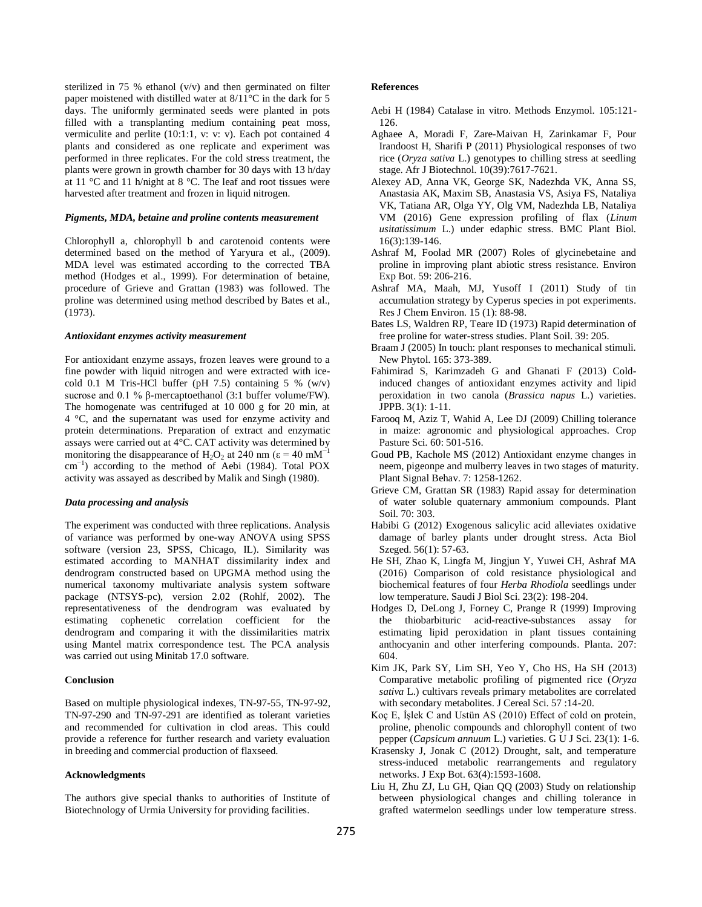sterilized in 75 % ethanol (v/v) and then germinated on filter paper moistened with distilled water at 8/11°C in the dark for 5 days. The uniformly germinated seeds were planted in pots filled with a transplanting medium containing peat moss, vermiculite and perlite (10:1:1, v: v: v). Each pot contained 4 plants and considered as one replicate and experiment was performed in three replicates. For the cold stress treatment, the plants were grown in growth chamber for 30 days with 13 h/day at 11 °C and 11 h/night at 8 °C. The leaf and root tissues were harvested after treatment and frozen in liquid nitrogen.

#### *Pigments, MDA, betaine and proline contents measurement*

Chlorophyll a, chlorophyll b and carotenoid contents were determined based on the method of Yaryura et al., (2009). MDA level was estimated according to the corrected TBA method (Hodges et al., 1999). For determination of betaine, procedure of Grieve and Grattan (1983) was followed. The proline was determined using method described by Bates et al., (1973).

# *Antioxidant enzymes activity measurement*

For antioxidant enzyme assays, frozen leaves were ground to a fine powder with liquid nitrogen and were extracted with icecold 0.1 M Tris-HCl buffer (pH 7.5) containing 5 %  $(w/v)$ sucrose and 0.1 % β-mercaptoethanol (3:1 buffer volume/FW). The homogenate was centrifuged at 10 000 g for 20 min, at 4 °C, and the supernatant was used for enzyme activity and protein determinations. Preparation of extract and enzymatic assays were carried out at 4°C. CAT activity was determined by monitoring the disappearance of H<sub>2</sub>O<sub>2</sub> at 240 nm ( $\varepsilon = 40$  mM<sup>-1</sup> cm−1 ) according to the method of Aebi (1984). Total POX activity was assayed as described by Malik and Singh (1980).

### *Data processing and analysis*

The experiment was conducted with three replications. Analysis of variance was performed by one-way ANOVA using SPSS software (version 23, SPSS, Chicago, IL). Similarity was estimated according to MANHAT dissimilarity index and dendrogram constructed based on UPGMA method using the numerical taxonomy multivariate analysis system software package (NTSYS-pc), version 2.02 (Rohlf, 2002). The representativeness of the dendrogram was evaluated by estimating cophenetic correlation coefficient for the dendrogram and comparing it with the dissimilarities matrix using Mantel matrix correspondence test. The PCA analysis was carried out using Minitab 17.0 software.

### **Conclusion**

Based on multiple physiological indexes, TN-97-55, TN-97-92, TN-97-290 and TN-97-291 are identified as tolerant varieties and recommended for cultivation in clod areas. This could provide a reference for further research and variety evaluation in breeding and commercial production of flaxseed.

### **Acknowledgments**

The authors give special thanks to authorities of Institute of Biotechnology of Urmia University for providing facilities.

#### **References**

- Aebi H (1984) Catalase in vitro. Methods Enzymol. 105:121- 126.
- Aghaee A, Moradi F, Zare-Maivan H, Zarinkamar F, Pour Irandoost H, Sharifi P (2011) Physiological responses of two rice (*Oryza sativa* L.) genotypes to chilling stress at seedling stage. Afr J Biotechnol. 10(39):7617-7621.
- Alexey AD, Anna VK, George SK, Nadezhda VK, Anna SS, Anastasia AK, Maxim SB, Anastasia VS, Asiya FS, Nataliya VK, Tatiana AR, Olga YY, Olg VM, Nadezhda LB, Nataliya VM (2016) Gene expression profiling of flax (*Linum usitatissimum* L.) under edaphic stress. BMC Plant Biol. 16(3):139-146.
- Ashraf M, Foolad MR (2007) Roles of glycinebetaine and proline in improving plant abiotic stress resistance. Environ Exp Bot. 59: 206-216.
- Ashraf MA, Maah, MJ, Yusoff I (2011) Study of tin accumulation strategy by Cyperus species in pot experiments. Res J Chem Environ. 15 (1): 88-98.
- Bates LS, Waldren RP, Teare ID (1973) Rapid determination of free proline for water-stress studies. Plant Soil. 39: 205.
- Braam J (2005) In touch: plant responses to mechanical stimuli. New Phytol. 165: 373-389.
- Fahimirad S, Karimzadeh G and Ghanati F (2013) Coldinduced changes of antioxidant enzymes activity and lipid peroxidation in two canola (*Brassica napus* L.) varieties. JPPB. 3(1): 1-11.
- Farooq M, Aziz T, Wahid A, Lee DJ (2009) Chilling tolerance in maize: agronomic and physiological approaches. Crop Pasture Sci. 60: 501-516.
- Goud PB, Kachole MS (2012) Antioxidant enzyme changes in neem, pigeonpe and mulberry leaves in two stages of maturity. Plant Signal Behav. 7: 1258-1262.
- Grieve CM, Grattan SR (1983) Rapid assay for determination of water soluble quaternary ammonium compounds. Plant Soil. 70: 303.
- Habibi G (2012) Exogenous salicylic acid alleviates oxidative damage of barley plants under drought stress. Acta Biol Szeged. 56(1): 57-63.
- He SH, Zhao K, Lingfa M, Jingjun Y, Yuwei CH, Ashraf MA (2016) Comparison of cold resistance physiological and biochemical features of four *Herba Rhodiola* seedlings under low temperature. Saudi J Biol Sci. 23(2): 198-204.
- Hodges D, DeLong J, Forney C, Prange R (1999) Improving the thiobarbituric acid-reactive-substances assay for estimating lipid peroxidation in plant tissues containing anthocyanin and other interfering compounds. Planta. 207: 604.
- Kim JK, Park SY, Lim SH, Yeo Y, Cho HS, Ha SH (2013) Comparative metabolic profiling of pigmented rice (*Oryza sativa* L.) cultivars reveals primary metabolites are correlated with secondary metabolites. J Cereal Sci. 57 :14-20.
- Koç E, İşlek C and Ustün AS (2010) Effect of cold on protein, proline, phenolic compounds and chlorophyll content of two pepper (*Capsicum annuum* L.) varieties. G U J Sci. 23(1): 1-6.
- Krasensky J, Jonak C (2012) Drought, salt, and temperature stress-induced metabolic rearrangements and regulatory networks. J Exp Bot. 63(4):1593-1608.
- Liu H, Zhu ZJ, Lu GH, Qian QQ (2003) Study on relationship between physiological changes and chilling tolerance in grafted watermelon seedlings under low temperature stress.